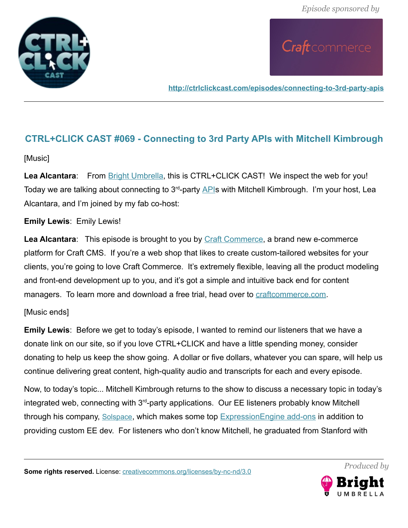



**<http://ctrlclickcast.com/episodes/connecting-to-3rd-party-apis>**

### **CTRL+CLICK CAST #069 - Connecting to 3rd Party APIs with Mitchell Kimbrough**

### [Music]

Lea Alcantara: From **Bright Umbrella**, this is CTRL+CLICK CAST! We inspect the web for you! Today we are talking about connecting to  $3<sup>rd</sup>$ -party [APIs](https://en.wikipedia.org/wiki/Application_programming_interface) with Mitchell Kimbrough. I'm your host, Lea Alcantara, and I'm joined by my fab co-host:

### **Emily Lewis**: Emily Lewis!

**Lea Alcantara**: This episode is brought to you by [Craft Commerce,](https://craftcommerce.com/) a brand new e-commerce platform for Craft CMS. If you're a web shop that likes to create custom-tailored websites for your clients, you're going to love Craft Commerce. It's extremely flexible, leaving all the product modeling and front-end development up to you, and it's got a simple and intuitive back end for content managers. To learn more and download a free trial, head over to [craftcommerce.com.](https://craftcommerce.com/)

### [Music ends]

**Emily Lewis**: Before we get to today's episode, I wanted to remind our listeners that we have a donate link on our site, so if you love CTRL+CLICK and have a little spending money, consider donating to help us keep the show going. A dollar or five dollars, whatever you can spare, will help us continue delivering great content, high-quality audio and transcripts for each and every episode.

Now, to today's topic... Mitchell Kimbrough returns to the show to discuss a necessary topic in today's integrated web, connecting with  $3<sup>rd</sup>$ -party applications. Our EE listeners probably know Mitchell through his company, [Solspace](http://solspace.com/), which makes some top [ExpressionEngine add-ons](https://docs.expressionengine.com/latest/development/index.html) in addition to providing custom EE dev. For listeners who don't know Mitchell, he graduated from Stanford with



*Produced by*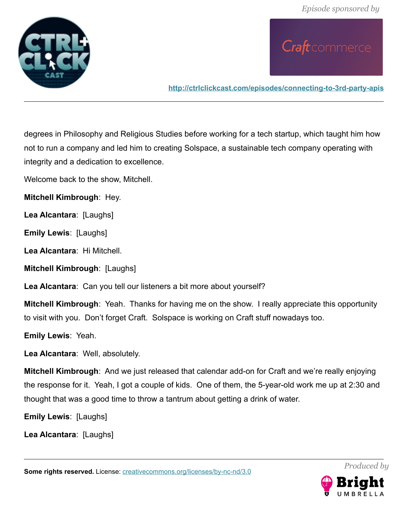

**<http://ctrlclickcast.com/episodes/connecting-to-3rd-party-apis>**

degrees in Philosophy and Religious Studies before working for a tech startup, which taught him how not to run a company and led him to creating Solspace, a sustainable tech company operating with integrity and a dedication to excellence.

Welcome back to the show, Mitchell.

**Mitchell Kimbrough**: Hey.

**Lea Alcantara**: [Laughs]

**Emily Lewis**: [Laughs]

**Lea Alcantara**: Hi Mitchell.

**Mitchell Kimbrough**: [Laughs]

**Lea Alcantara**: Can you tell our listeners a bit more about yourself?

**Mitchell Kimbrough**: Yeah. Thanks for having me on the show. I really appreciate this opportunity to visit with you. Don't forget Craft. Solspace is working on Craft stuff nowadays too.

**Emily Lewis**: Yeah.

**Lea Alcantara**: Well, absolutely.

**Mitchell Kimbrough**: And we just released that calendar add-on for Craft and we're really enjoying the response for it. Yeah, I got a couple of kids. One of them, the 5-year-old work me up at 2:30 and thought that was a good time to throw a tantrum about getting a drink of water.

**Emily Lewis**: [Laughs]

**Lea Alcantara**: [Laughs]

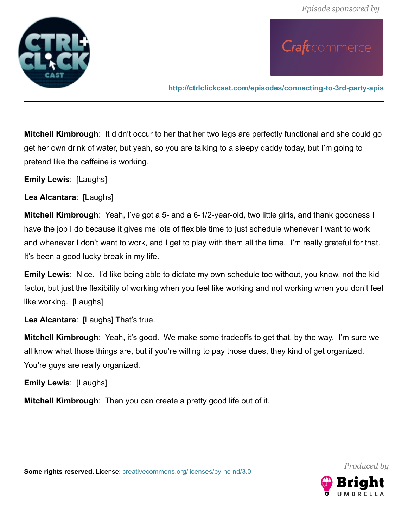

**<http://ctrlclickcast.com/episodes/connecting-to-3rd-party-apis>**

**Mitchell Kimbrough**: It didn't occur to her that her two legs are perfectly functional and she could go get her own drink of water, but yeah, so you are talking to a sleepy daddy today, but I'm going to pretend like the caffeine is working.

**Emily Lewis**: [Laughs]

**Lea Alcantara**: [Laughs]

**Mitchell Kimbrough**: Yeah, I've got a 5- and a 6-1/2-year-old, two little girls, and thank goodness I have the job I do because it gives me lots of flexible time to just schedule whenever I want to work and whenever I don't want to work, and I get to play with them all the time. I'm really grateful for that. It's been a good lucky break in my life.

**Emily Lewis**: Nice. I'd like being able to dictate my own schedule too without, you know, not the kid factor, but just the flexibility of working when you feel like working and not working when you don't feel like working. [Laughs]

**Lea Alcantara**: [Laughs] That's true.

**Mitchell Kimbrough**: Yeah, it's good. We make some tradeoffs to get that, by the way. I'm sure we all know what those things are, but if you're willing to pay those dues, they kind of get organized. You're guys are really organized.

**Emily Lewis**: [Laughs]

**Mitchell Kimbrough**: Then you can create a pretty good life out of it.

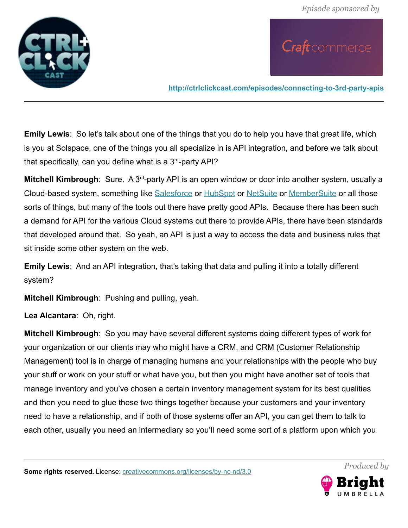

**<http://ctrlclickcast.com/episodes/connecting-to-3rd-party-apis>**

**Emily Lewis**: So let's talk about one of the things that you do to help you have that great life, which is you at Solspace, one of the things you all specialize in is API integration, and before we talk about that specifically, can you define what is a  $3<sup>rd</sup>$ -party API?

**Mitchell Kimbrough**: Sure. A 3<sup>rd</sup>-party API is an open window or door into another system, usually a Cloud-based system, something like [Salesforce](https://developer.salesforce.com/page/Salesforce_APIs) or [HubSpot](http://developers.hubspot.com/docs/overview) or [NetSuite](http://www.netsuite.com/portal/developers/overview.shtml) or [MemberSuite](http://www.membersuite.com/developers) or all those sorts of things, but many of the tools out there have pretty good APIs. Because there has been such a demand for API for the various Cloud systems out there to provide APIs, there have been standards that developed around that. So yeah, an API is just a way to access the data and business rules that sit inside some other system on the web.

**Emily Lewis**: And an API integration, that's taking that data and pulling it into a totally different system?

**Mitchell Kimbrough**: Pushing and pulling, yeah.

**Lea Alcantara**: Oh, right.

**Mitchell Kimbrough**: So you may have several different systems doing different types of work for your organization or our clients may who might have a CRM, and CRM (Customer Relationship Management) tool is in charge of managing humans and your relationships with the people who buy your stuff or work on your stuff or what have you, but then you might have another set of tools that manage inventory and you've chosen a certain inventory management system for its best qualities and then you need to glue these two things together because your customers and your inventory need to have a relationship, and if both of those systems offer an API, you can get them to talk to each other, usually you need an intermediary so you'll need some sort of a platform upon which you

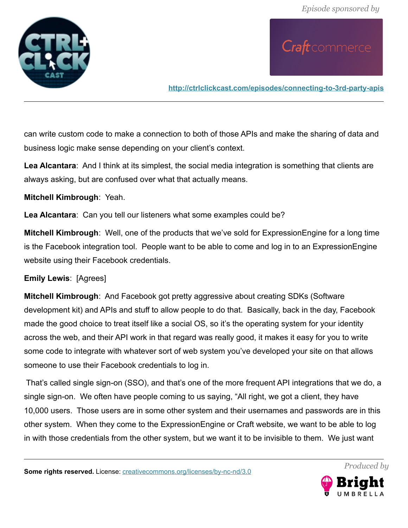

**<http://ctrlclickcast.com/episodes/connecting-to-3rd-party-apis>**

can write custom code to make a connection to both of those APIs and make the sharing of data and business logic make sense depending on your client's context.

**Lea Alcantara**: And I think at its simplest, the social media integration is something that clients are always asking, but are confused over what that actually means.

**Mitchell Kimbrough**: Yeah.

**Lea Alcantara**: Can you tell our listeners what some examples could be?

**Mitchell Kimbrough**: Well, one of the products that we've sold for ExpressionEngine for a long time is the Facebook integration tool. People want to be able to come and log in to an ExpressionEngine website using their Facebook credentials.

### **Emily Lewis**: [Agrees]

**Mitchell Kimbrough**: And Facebook got pretty aggressive about creating SDKs (Software development kit) and APIs and stuff to allow people to do that. Basically, back in the day, Facebook made the good choice to treat itself like a social OS, so it's the operating system for your identity across the web, and their API work in that regard was really good, it makes it easy for you to write some code to integrate with whatever sort of web system you've developed your site on that allows someone to use their Facebook credentials to log in.

 That's called single sign-on (SSO), and that's one of the more frequent API integrations that we do, a single sign-on. We often have people coming to us saying, "All right, we got a client, they have 10,000 users. Those users are in some other system and their usernames and passwords are in this other system. When they come to the ExpressionEngine or Craft website, we want to be able to log in with those credentials from the other system, but we want it to be invisible to them. We just want

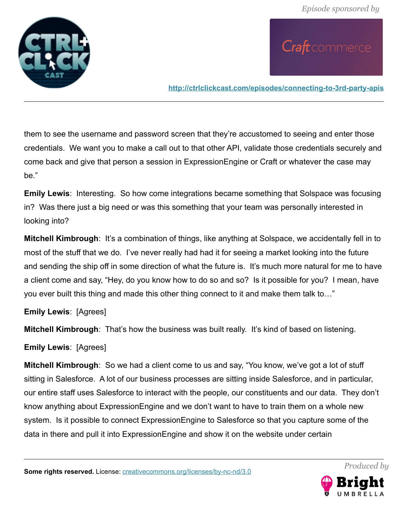

**<http://ctrlclickcast.com/episodes/connecting-to-3rd-party-apis>**

them to see the username and password screen that they're accustomed to seeing and enter those credentials. We want you to make a call out to that other API, validate those credentials securely and come back and give that person a session in ExpressionEngine or Craft or whatever the case may be."

**Emily Lewis**: Interesting. So how come integrations became something that Solspace was focusing in? Was there just a big need or was this something that your team was personally interested in looking into?

**Mitchell Kimbrough**: It's a combination of things, like anything at Solspace, we accidentally fell in to most of the stuff that we do. I've never really had had it for seeing a market looking into the future and sending the ship off in some direction of what the future is. It's much more natural for me to have a client come and say, "Hey, do you know how to do so and so? Is it possible for you? I mean, have you ever built this thing and made this other thing connect to it and make them talk to…"

**Emily Lewis**: [Agrees]

**Mitchell Kimbrough**: That's how the business was built really. It's kind of based on listening.

**Emily Lewis**: [Agrees]

**Mitchell Kimbrough**: So we had a client come to us and say, "You know, we've got a lot of stuff sitting in Salesforce. A lot of our business processes are sitting inside Salesforce, and in particular, our entire staff uses Salesforce to interact with the people, our constituents and our data. They don't know anything about ExpressionEngine and we don't want to have to train them on a whole new system. Is it possible to connect ExpressionEngine to Salesforce so that you capture some of the data in there and pull it into ExpressionEngine and show it on the website under certain

**Some rights reserved.** License: [creativecommons.org/licenses/by-nc-nd/3.0](http://creativecommons.org/licenses/by-nc-nd/3.0/)

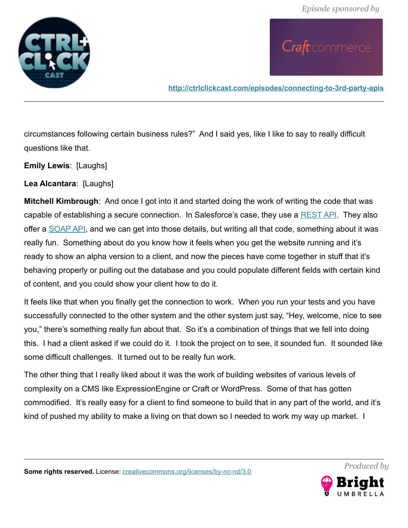

**<http://ctrlclickcast.com/episodes/connecting-to-3rd-party-apis>**

circumstances following certain business rules?" And I said yes, like I like to say to really difficult questions like that.

**Emily Lewis**: [Laughs]

**Lea Alcantara**: [Laughs]

**Mitchell Kimbrough**: And once I got into it and started doing the work of writing the code that was capable of establishing a secure connection. In Salesforce's case, they use a [REST API.](https://en.wikipedia.org/wiki/Representational_state_transfer) They also offer a [SOAP API,](https://en.wikipedia.org/wiki/SOAP) and we can get into those details, but writing all that code, something about it was really fun. Something about do you know how it feels when you get the website running and it's ready to show an alpha version to a client, and now the pieces have come together in stuff that it's behaving properly or pulling out the database and you could populate different fields with certain kind of content, and you could show your client how to do it.

It feels like that when you finally get the connection to work. When you run your tests and you have successfully connected to the other system and the other system just say, "Hey, welcome, nice to see you," there's something really fun about that. So it's a combination of things that we fell into doing this. I had a client asked if we could do it. I took the project on to see, it sounded fun. It sounded like some difficult challenges. It turned out to be really fun work.

The other thing that I really liked about it was the work of building websites of various levels of complexity on a CMS like ExpressionEngine or Craft or WordPress. Some of that has gotten commodified. It's really easy for a client to find someone to build that in any part of the world, and it's kind of pushed my ability to make a living on that down so I needed to work my way up market. I

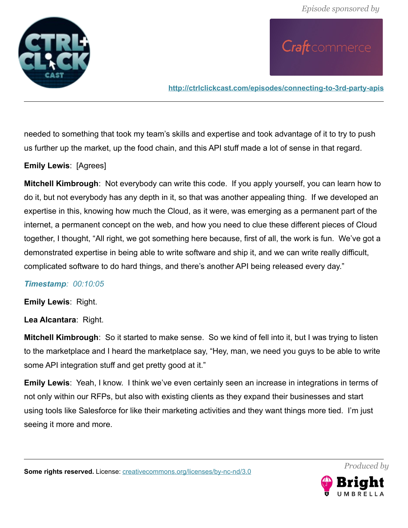

**<http://ctrlclickcast.com/episodes/connecting-to-3rd-party-apis>**

needed to something that took my team's skills and expertise and took advantage of it to try to push us further up the market, up the food chain, and this API stuff made a lot of sense in that regard.

### **Emily Lewis**: [Agrees]

**Mitchell Kimbrough**: Not everybody can write this code. If you apply yourself, you can learn how to do it, but not everybody has any depth in it, so that was another appealing thing. If we developed an expertise in this, knowing how much the Cloud, as it were, was emerging as a permanent part of the internet, a permanent concept on the web, and how you need to clue these different pieces of Cloud together, I thought, "All right, we got something here because, first of all, the work is fun. We've got a demonstrated expertise in being able to write software and ship it, and we can write really difficult, complicated software to do hard things, and there's another API being released every day."

#### *Timestamp: 00:10:05*

**Emily Lewis**: Right.

**Lea Alcantara**: Right.

**Mitchell Kimbrough**: So it started to make sense. So we kind of fell into it, but I was trying to listen to the marketplace and I heard the marketplace say, "Hey, man, we need you guys to be able to write some API integration stuff and get pretty good at it."

**Emily Lewis**: Yeah, I know. I think we've even certainly seen an increase in integrations in terms of not only within our RFPs, but also with existing clients as they expand their businesses and start using tools like Salesforce for like their marketing activities and they want things more tied. I'm just seeing it more and more.



*Produced by*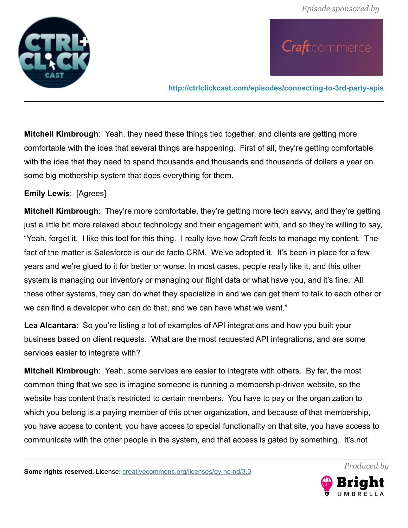

**<http://ctrlclickcast.com/episodes/connecting-to-3rd-party-apis>**

**Mitchell Kimbrough**: Yeah, they need these things tied together, and clients are getting more comfortable with the idea that several things are happening. First of all, they're getting comfortable with the idea that they need to spend thousands and thousands and thousands of dollars a year on some big mothership system that does everything for them.

**Emily Lewis**: [Agrees]

**Mitchell Kimbrough**: They're more comfortable, they're getting more tech savvy, and they're getting just a little bit more relaxed about technology and their engagement with, and so they're willing to say, "Yeah, forget it. I like this tool for this thing. I really love how Craft feels to manage my content. The fact of the matter is Salesforce is our de facto CRM. We've adopted it. It's been in place for a few years and we're glued to it for better or worse. In most cases, people really like it, and this other system is managing our inventory or managing our flight data or what have you, and it's fine. All these other systems, they can do what they specialize in and we can get them to talk to each other or we can find a developer who can do that, and we can have what we want."

**Lea Alcantara**: So you're listing a lot of examples of API integrations and how you built your business based on client requests. What are the most requested API integrations, and are some services easier to integrate with?

**Mitchell Kimbrough**: Yeah, some services are easier to integrate with others. By far, the most common thing that we see is imagine someone is running a membership-driven website, so the website has content that's restricted to certain members. You have to pay or the organization to which you belong is a paying member of this other organization, and because of that membership, you have access to content, you have access to special functionality on that site, you have access to communicate with the other people in the system, and that access is gated by something. It's not

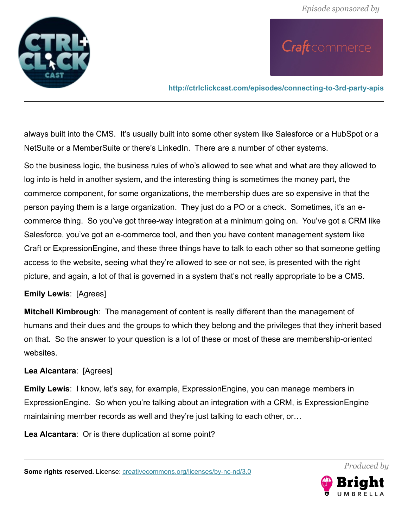

**<http://ctrlclickcast.com/episodes/connecting-to-3rd-party-apis>**

always built into the CMS. It's usually built into some other system like Salesforce or a HubSpot or a NetSuite or a MemberSuite or there's LinkedIn. There are a number of other systems.

So the business logic, the business rules of who's allowed to see what and what are they allowed to log into is held in another system, and the interesting thing is sometimes the money part, the commerce component, for some organizations, the membership dues are so expensive in that the person paying them is a large organization. They just do a PO or a check. Sometimes, it's an ecommerce thing. So you've got three-way integration at a minimum going on. You've got a CRM like Salesforce, you've got an e-commerce tool, and then you have content management system like Craft or ExpressionEngine, and these three things have to talk to each other so that someone getting access to the website, seeing what they're allowed to see or not see, is presented with the right picture, and again, a lot of that is governed in a system that's not really appropriate to be a CMS.

### **Emily Lewis**: [Agrees]

**Mitchell Kimbrough**: The management of content is really different than the management of humans and their dues and the groups to which they belong and the privileges that they inherit based on that. So the answer to your question is a lot of these or most of these are membership-oriented websites.

### **Lea Alcantara**: [Agrees]

**Emily Lewis**: I know, let's say, for example, ExpressionEngine, you can manage members in ExpressionEngine. So when you're talking about an integration with a CRM, is ExpressionEngine maintaining member records as well and they're just talking to each other, or…

**Lea Alcantara**: Or is there duplication at some point?

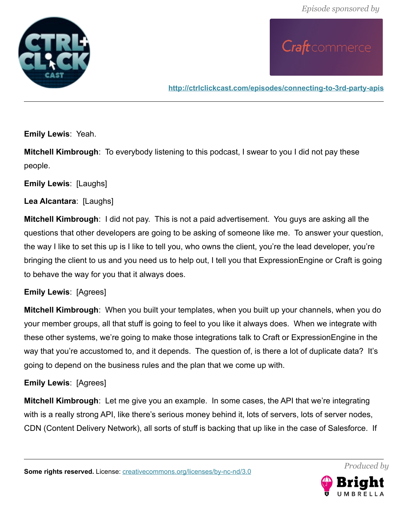

**<http://ctrlclickcast.com/episodes/connecting-to-3rd-party-apis>**

**Emily Lewis**: Yeah.

**Mitchell Kimbrough**: To everybody listening to this podcast, I swear to you I did not pay these people.

**Emily Lewis**: [Laughs]

**Lea Alcantara**: [Laughs]

**Mitchell Kimbrough**: I did not pay. This is not a paid advertisement. You guys are asking all the questions that other developers are going to be asking of someone like me. To answer your question, the way I like to set this up is I like to tell you, who owns the client, you're the lead developer, you're bringing the client to us and you need us to help out, I tell you that ExpressionEngine or Craft is going to behave the way for you that it always does.

### **Emily Lewis**: [Agrees]

**Mitchell Kimbrough**: When you built your templates, when you built up your channels, when you do your member groups, all that stuff is going to feel to you like it always does. When we integrate with these other systems, we're going to make those integrations talk to Craft or ExpressionEngine in the way that you're accustomed to, and it depends. The question of, is there a lot of duplicate data? It's going to depend on the business rules and the plan that we come up with.

### **Emily Lewis**: [Agrees]

**Mitchell Kimbrough**: Let me give you an example. In some cases, the API that we're integrating with is a really strong API, like there's serious money behind it, lots of servers, lots of server nodes, CDN (Content Delivery Network), all sorts of stuff is backing that up like in the case of Salesforce. If



*Produced by*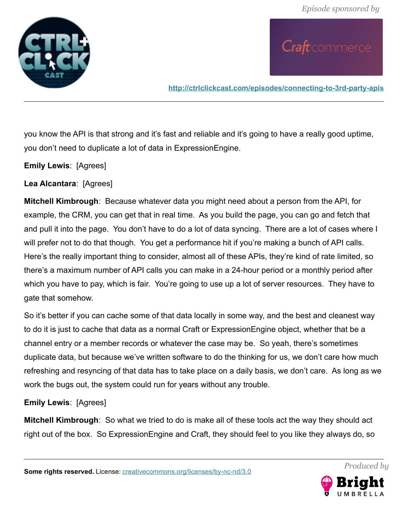

**<http://ctrlclickcast.com/episodes/connecting-to-3rd-party-apis>**

you know the API is that strong and it's fast and reliable and it's going to have a really good uptime, you don't need to duplicate a lot of data in ExpressionEngine.

**Emily Lewis**: [Agrees]

**Lea Alcantara**: [Agrees]

**Mitchell Kimbrough**: Because whatever data you might need about a person from the API, for example, the CRM, you can get that in real time. As you build the page, you can go and fetch that and pull it into the page. You don't have to do a lot of data syncing. There are a lot of cases where I will prefer not to do that though. You get a performance hit if you're making a bunch of API calls. Here's the really important thing to consider, almost all of these APIs, they're kind of rate limited, so there's a maximum number of API calls you can make in a 24-hour period or a monthly period after which you have to pay, which is fair. You're going to use up a lot of server resources. They have to gate that somehow.

So it's better if you can cache some of that data locally in some way, and the best and cleanest way to do it is just to cache that data as a normal Craft or ExpressionEngine object, whether that be a channel entry or a member records or whatever the case may be. So yeah, there's sometimes duplicate data, but because we've written software to do the thinking for us, we don't care how much refreshing and resyncing of that data has to take place on a daily basis, we don't care. As long as we work the bugs out, the system could run for years without any trouble.

#### **Emily Lewis**: [Agrees]

**Mitchell Kimbrough**: So what we tried to do is make all of these tools act the way they should act right out of the box. So ExpressionEngine and Craft, they should feel to you like they always do, so

**Some rights reserved.** License: [creativecommons.org/licenses/by-nc-nd/3.0](http://creativecommons.org/licenses/by-nc-nd/3.0/)

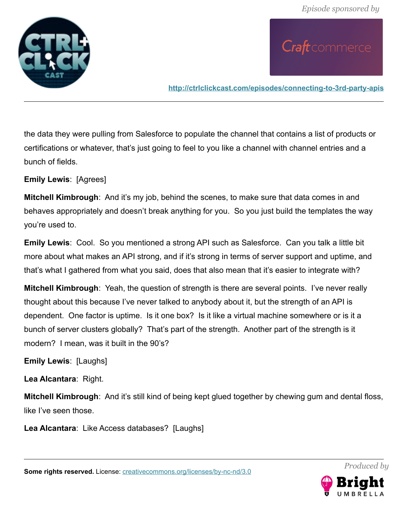

**<http://ctrlclickcast.com/episodes/connecting-to-3rd-party-apis>**

the data they were pulling from Salesforce to populate the channel that contains a list of products or certifications or whatever, that's just going to feel to you like a channel with channel entries and a bunch of fields.

**Emily Lewis**: [Agrees]

**Mitchell Kimbrough**: And it's my job, behind the scenes, to make sure that data comes in and behaves appropriately and doesn't break anything for you. So you just build the templates the way you're used to.

**Emily Lewis**: Cool. So you mentioned a strong API such as Salesforce. Can you talk a little bit more about what makes an API strong, and if it's strong in terms of server support and uptime, and that's what I gathered from what you said, does that also mean that it's easier to integrate with?

**Mitchell Kimbrough**: Yeah, the question of strength is there are several points. I've never really thought about this because I've never talked to anybody about it, but the strength of an API is dependent. One factor is uptime. Is it one box? Is it like a virtual machine somewhere or is it a bunch of server clusters globally? That's part of the strength. Another part of the strength is it modern? I mean, was it built in the 90's?

**Emily Lewis**: [Laughs]

**Lea Alcantara**: Right.

**Mitchell Kimbrough**: And it's still kind of being kept glued together by chewing gum and dental floss, like I've seen those.

**Lea Alcantara**: Like Access databases? [Laughs]

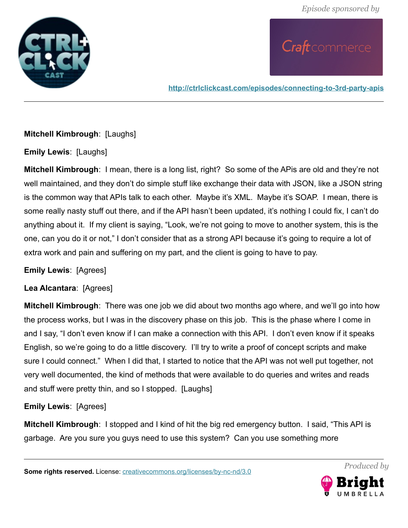

**<http://ctrlclickcast.com/episodes/connecting-to-3rd-party-apis>**

### **Mitchell Kimbrough**: [Laughs]

**Emily Lewis**: [Laughs]

**Mitchell Kimbrough**: I mean, there is a long list, right? So some of the APis are old and they're not well maintained, and they don't do simple stuff like exchange their data with JSON, like a JSON string is the common way that APIs talk to each other. Maybe it's XML. Maybe it's SOAP. I mean, there is some really nasty stuff out there, and if the API hasn't been updated, it's nothing I could fix, I can't do anything about it. If my client is saying, "Look, we're not going to move to another system, this is the one, can you do it or not," I don't consider that as a strong API because it's going to require a lot of extra work and pain and suffering on my part, and the client is going to have to pay.

**Emily Lewis**: [Agrees]

**Lea Alcantara**: [Agrees]

**Mitchell Kimbrough**: There was one job we did about two months ago where, and we'll go into how the process works, but I was in the discovery phase on this job. This is the phase where I come in and I say, "I don't even know if I can make a connection with this API. I don't even know if it speaks English, so we're going to do a little discovery. I'll try to write a proof of concept scripts and make sure I could connect." When I did that, I started to notice that the API was not well put together, not very well documented, the kind of methods that were available to do queries and writes and reads and stuff were pretty thin, and so I stopped. [Laughs]

**Emily Lewis**: [Agrees]

**Mitchell Kimbrough**: I stopped and I kind of hit the big red emergency button. I said, "This API is garbage. Are you sure you guys need to use this system? Can you use something more

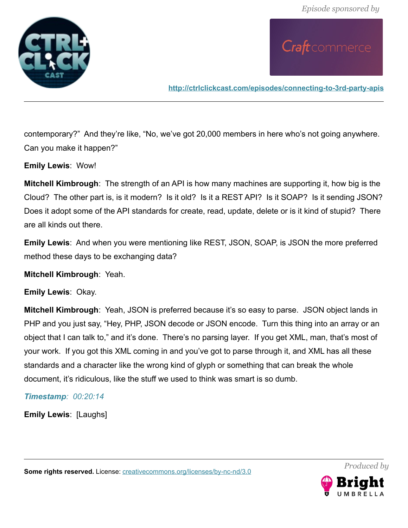

**<http://ctrlclickcast.com/episodes/connecting-to-3rd-party-apis>**

contemporary?" And they're like, "No, we've got 20,000 members in here who's not going anywhere. Can you make it happen?"

**Emily Lewis**: Wow!

**Mitchell Kimbrough**: The strength of an API is how many machines are supporting it, how big is the Cloud? The other part is, is it modern? Is it old? Is it a REST API? Is it SOAP? Is it sending JSON? Does it adopt some of the API standards for create, read, update, delete or is it kind of stupid? There are all kinds out there.

**Emily Lewis**: And when you were mentioning like REST, JSON, SOAP, is JSON the more preferred method these days to be exchanging data?

**Mitchell Kimbrough**: Yeah.

**Emily Lewis**: Okay.

**Mitchell Kimbrough**: Yeah, JSON is preferred because it's so easy to parse. JSON object lands in PHP and you just say, "Hey, PHP, JSON decode or JSON encode. Turn this thing into an array or an object that I can talk to," and it's done. There's no parsing layer. If you get XML, man, that's most of your work. If you got this XML coming in and you've got to parse through it, and XML has all these standards and a character like the wrong kind of glyph or something that can break the whole document, it's ridiculous, like the stuff we used to think was smart is so dumb.

*Timestamp: 00:20:14*

**Emily Lewis**: [Laughs]

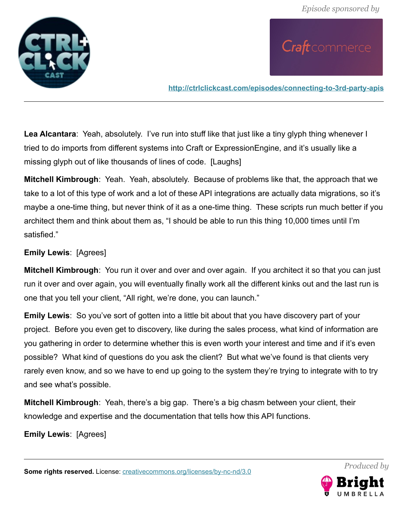

**<http://ctrlclickcast.com/episodes/connecting-to-3rd-party-apis>**

**Lea Alcantara**: Yeah, absolutely. I've run into stuff like that just like a tiny glyph thing whenever I tried to do imports from different systems into Craft or ExpressionEngine, and it's usually like a missing glyph out of like thousands of lines of code. [Laughs]

**Mitchell Kimbrough**: Yeah. Yeah, absolutely. Because of problems like that, the approach that we take to a lot of this type of work and a lot of these API integrations are actually data migrations, so it's maybe a one-time thing, but never think of it as a one-time thing. These scripts run much better if you architect them and think about them as, "I should be able to run this thing 10,000 times until I'm satisfied."

### **Emily Lewis**: [Agrees]

**Mitchell Kimbrough**: You run it over and over and over again. If you architect it so that you can just run it over and over again, you will eventually finally work all the different kinks out and the last run is one that you tell your client, "All right, we're done, you can launch."

**Emily Lewis**: So you've sort of gotten into a little bit about that you have discovery part of your project. Before you even get to discovery, like during the sales process, what kind of information are you gathering in order to determine whether this is even worth your interest and time and if it's even possible? What kind of questions do you ask the client? But what we've found is that clients very rarely even know, and so we have to end up going to the system they're trying to integrate with to try and see what's possible.

**Mitchell Kimbrough**: Yeah, there's a big gap. There's a big chasm between your client, their knowledge and expertise and the documentation that tells how this API functions.

**Emily Lewis**: [Agrees]

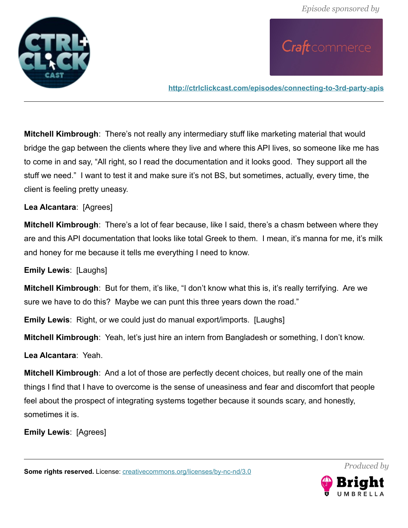

**<http://ctrlclickcast.com/episodes/connecting-to-3rd-party-apis>**

**Mitchell Kimbrough**: There's not really any intermediary stuff like marketing material that would bridge the gap between the clients where they live and where this API lives, so someone like me has to come in and say, "All right, so I read the documentation and it looks good. They support all the stuff we need." I want to test it and make sure it's not BS, but sometimes, actually, every time, the client is feeling pretty uneasy.

**Lea Alcantara**: [Agrees]

**Mitchell Kimbrough**: There's a lot of fear because, like I said, there's a chasm between where they are and this API documentation that looks like total Greek to them. I mean, it's manna for me, it's milk and honey for me because it tells me everything I need to know.

**Emily Lewis**: [Laughs]

**Mitchell Kimbrough**: But for them, it's like, "I don't know what this is, it's really terrifying. Are we sure we have to do this? Maybe we can punt this three years down the road."

**Emily Lewis**: Right, or we could just do manual export/imports. [Laughs]

**Mitchell Kimbrough**: Yeah, let's just hire an intern from Bangladesh or something, I don't know.

**Lea Alcantara**: Yeah.

**Mitchell Kimbrough**: And a lot of those are perfectly decent choices, but really one of the main things I find that I have to overcome is the sense of uneasiness and fear and discomfort that people feel about the prospect of integrating systems together because it sounds scary, and honestly, sometimes it is.

**Emily Lewis**: [Agrees]

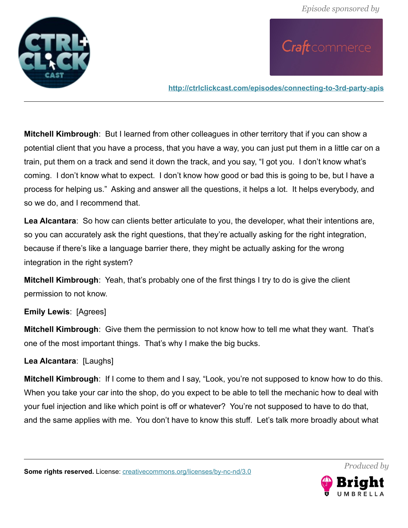

**<http://ctrlclickcast.com/episodes/connecting-to-3rd-party-apis>**

**Mitchell Kimbrough**: But I learned from other colleagues in other territory that if you can show a potential client that you have a process, that you have a way, you can just put them in a little car on a train, put them on a track and send it down the track, and you say, "I got you. I don't know what's coming. I don't know what to expect. I don't know how good or bad this is going to be, but I have a process for helping us." Asking and answer all the questions, it helps a lot. It helps everybody, and so we do, and I recommend that.

**Lea Alcantara**: So how can clients better articulate to you, the developer, what their intentions are, so you can accurately ask the right questions, that they're actually asking for the right integration, because if there's like a language barrier there, they might be actually asking for the wrong integration in the right system?

**Mitchell Kimbrough**: Yeah, that's probably one of the first things I try to do is give the client permission to not know.

### **Emily Lewis**: [Agrees]

**Mitchell Kimbrough**: Give them the permission to not know how to tell me what they want. That's one of the most important things. That's why I make the big bucks.

### **Lea Alcantara**: [Laughs]

**Mitchell Kimbrough**: If I come to them and I say, "Look, you're not supposed to know how to do this. When you take your car into the shop, do you expect to be able to tell the mechanic how to deal with your fuel injection and like which point is off or whatever? You're not supposed to have to do that, and the same applies with me. You don't have to know this stuff. Let's talk more broadly about what

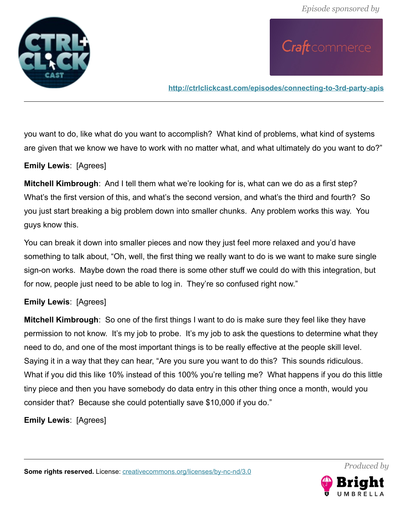

**<http://ctrlclickcast.com/episodes/connecting-to-3rd-party-apis>**

you want to do, like what do you want to accomplish? What kind of problems, what kind of systems are given that we know we have to work with no matter what, and what ultimately do you want to do?"

### **Emily Lewis**: [Agrees]

**Mitchell Kimbrough**: And I tell them what we're looking for is, what can we do as a first step? What's the first version of this, and what's the second version, and what's the third and fourth? So you just start breaking a big problem down into smaller chunks. Any problem works this way. You guys know this.

You can break it down into smaller pieces and now they just feel more relaxed and you'd have something to talk about, "Oh, well, the first thing we really want to do is we want to make sure single sign-on works. Maybe down the road there is some other stuff we could do with this integration, but for now, people just need to be able to log in. They're so confused right now."

### **Emily Lewis**: [Agrees]

**Mitchell Kimbrough**: So one of the first things I want to do is make sure they feel like they have permission to not know. It's my job to probe. It's my job to ask the questions to determine what they need to do, and one of the most important things is to be really effective at the people skill level. Saying it in a way that they can hear, "Are you sure you want to do this? This sounds ridiculous. What if you did this like 10% instead of this 100% you're telling me? What happens if you do this little tiny piece and then you have somebody do data entry in this other thing once a month, would you consider that? Because she could potentially save \$10,000 if you do."

**Emily Lewis**: [Agrees]

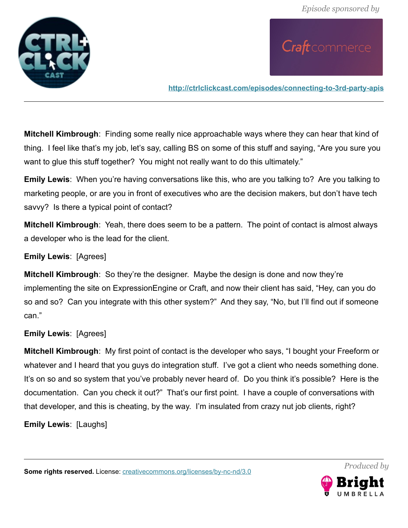

**<http://ctrlclickcast.com/episodes/connecting-to-3rd-party-apis>**

**Mitchell Kimbrough**: Finding some really nice approachable ways where they can hear that kind of thing. I feel like that's my job, let's say, calling BS on some of this stuff and saying, "Are you sure you want to glue this stuff together? You might not really want to do this ultimately."

**Emily Lewis**: When you're having conversations like this, who are you talking to? Are you talking to marketing people, or are you in front of executives who are the decision makers, but don't have tech savvy? Is there a typical point of contact?

**Mitchell Kimbrough**: Yeah, there does seem to be a pattern. The point of contact is almost always a developer who is the lead for the client.

### **Emily Lewis**: [Agrees]

**Mitchell Kimbrough**: So they're the designer. Maybe the design is done and now they're implementing the site on ExpressionEngine or Craft, and now their client has said, "Hey, can you do so and so? Can you integrate with this other system?" And they say, "No, but I'll find out if someone can."

### **Emily Lewis**: [Agrees]

**Mitchell Kimbrough**: My first point of contact is the developer who says, "I bought your Freeform or whatever and I heard that you guys do integration stuff. I've got a client who needs something done. It's on so and so system that you've probably never heard of. Do you think it's possible? Here is the documentation. Can you check it out?" That's our first point. I have a couple of conversations with that developer, and this is cheating, by the way. I'm insulated from crazy nut job clients, right?

**Emily Lewis**: [Laughs]

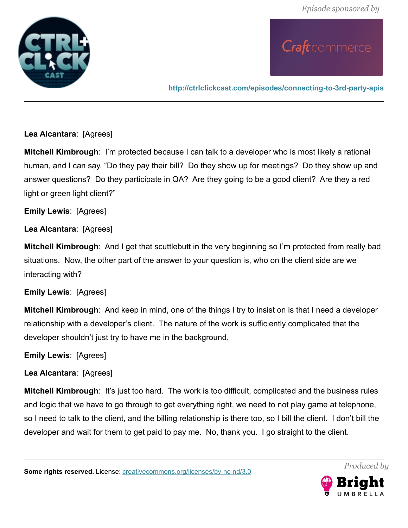

**<http://ctrlclickcast.com/episodes/connecting-to-3rd-party-apis>**

### **Lea Alcantara**: [Agrees]

**Mitchell Kimbrough**: I'm protected because I can talk to a developer who is most likely a rational human, and I can say, "Do they pay their bill? Do they show up for meetings? Do they show up and answer questions? Do they participate in QA? Are they going to be a good client? Are they a red light or green light client?"

**Emily Lewis**: [Agrees]

**Lea Alcantara**: [Agrees]

**Mitchell Kimbrough**: And I get that scuttlebutt in the very beginning so I'm protected from really bad situations. Now, the other part of the answer to your question is, who on the client side are we interacting with?

**Emily Lewis**: [Agrees]

**Mitchell Kimbrough**: And keep in mind, one of the things I try to insist on is that I need a developer relationship with a developer's client. The nature of the work is sufficiently complicated that the developer shouldn't just try to have me in the background.

**Emily Lewis**: [Agrees]

### **Lea Alcantara**: [Agrees]

**Mitchell Kimbrough:** It's just too hard. The work is too difficult, complicated and the business rules and logic that we have to go through to get everything right, we need to not play game at telephone, so I need to talk to the client, and the billing relationship is there too, so I bill the client. I don't bill the developer and wait for them to get paid to pay me. No, thank you. I go straight to the client.

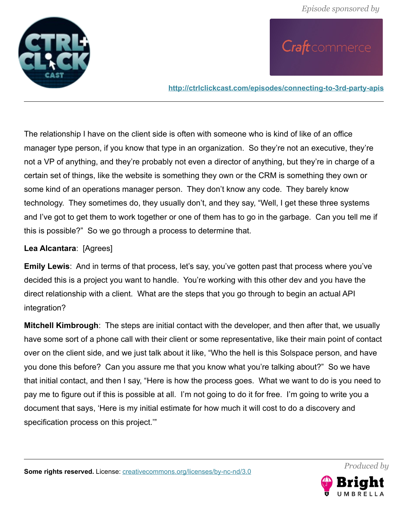

**<http://ctrlclickcast.com/episodes/connecting-to-3rd-party-apis>**

The relationship I have on the client side is often with someone who is kind of like of an office manager type person, if you know that type in an organization. So they're not an executive, they're not a VP of anything, and they're probably not even a director of anything, but they're in charge of a certain set of things, like the website is something they own or the CRM is something they own or some kind of an operations manager person. They don't know any code. They barely know technology. They sometimes do, they usually don't, and they say, "Well, I get these three systems and I've got to get them to work together or one of them has to go in the garbage. Can you tell me if this is possible?" So we go through a process to determine that.

### **Lea Alcantara**: [Agrees]

**Emily Lewis**: And in terms of that process, let's say, you've gotten past that process where you've decided this is a project you want to handle. You're working with this other dev and you have the direct relationship with a client. What are the steps that you go through to begin an actual API integration?

**Mitchell Kimbrough**: The steps are initial contact with the developer, and then after that, we usually have some sort of a phone call with their client or some representative, like their main point of contact over on the client side, and we just talk about it like, "Who the hell is this Solspace person, and have you done this before? Can you assure me that you know what you're talking about?" So we have that initial contact, and then I say, "Here is how the process goes. What we want to do is you need to pay me to figure out if this is possible at all. I'm not going to do it for free. I'm going to write you a document that says, 'Here is my initial estimate for how much it will cost to do a discovery and specification process on this project.'"

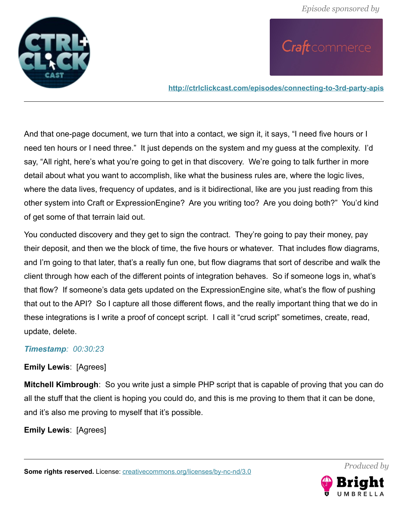

**<http://ctrlclickcast.com/episodes/connecting-to-3rd-party-apis>**

And that one-page document, we turn that into a contact, we sign it, it says, "I need five hours or I need ten hours or I need three." It just depends on the system and my guess at the complexity. I'd say, "All right, here's what you're going to get in that discovery. We're going to talk further in more detail about what you want to accomplish, like what the business rules are, where the logic lives, where the data lives, frequency of updates, and is it bidirectional, like are you just reading from this other system into Craft or ExpressionEngine? Are you writing too? Are you doing both?" You'd kind of get some of that terrain laid out.

You conducted discovery and they get to sign the contract. They're going to pay their money, pay their deposit, and then we the block of time, the five hours or whatever. That includes flow diagrams, and I'm going to that later, that's a really fun one, but flow diagrams that sort of describe and walk the client through how each of the different points of integration behaves. So if someone logs in, what's that flow? If someone's data gets updated on the ExpressionEngine site, what's the flow of pushing that out to the API? So I capture all those different flows, and the really important thing that we do in these integrations is I write a proof of concept script. I call it "crud script" sometimes, create, read, update, delete.

### *Timestamp: 00:30:23*

### **Emily Lewis**: [Agrees]

**Mitchell Kimbrough**: So you write just a simple PHP script that is capable of proving that you can do all the stuff that the client is hoping you could do, and this is me proving to them that it can be done, and it's also me proving to myself that it's possible.

**Emily Lewis**: [Agrees]

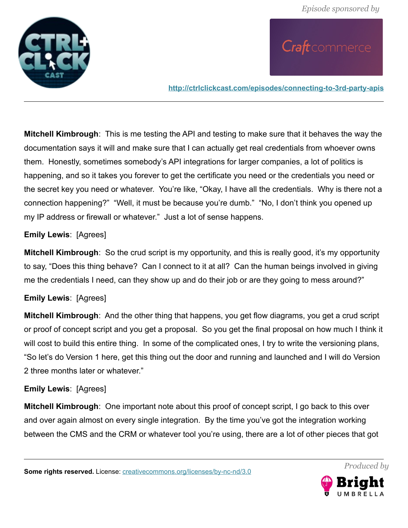

**<http://ctrlclickcast.com/episodes/connecting-to-3rd-party-apis>**

**Mitchell Kimbrough**: This is me testing the API and testing to make sure that it behaves the way the documentation says it will and make sure that I can actually get real credentials from whoever owns them. Honestly, sometimes somebody's API integrations for larger companies, a lot of politics is happening, and so it takes you forever to get the certificate you need or the credentials you need or the secret key you need or whatever. You're like, "Okay, I have all the credentials. Why is there not a connection happening?" "Well, it must be because you're dumb." "No, I don't think you opened up my IP address or firewall or whatever." Just a lot of sense happens.

### **Emily Lewis**: [Agrees]

**Mitchell Kimbrough**: So the crud script is my opportunity, and this is really good, it's my opportunity to say, "Does this thing behave? Can I connect to it at all? Can the human beings involved in giving me the credentials I need, can they show up and do their job or are they going to mess around?"

### **Emily Lewis**: [Agrees]

**Mitchell Kimbrough**: And the other thing that happens, you get flow diagrams, you get a crud script or proof of concept script and you get a proposal. So you get the final proposal on how much I think it will cost to build this entire thing. In some of the complicated ones, I try to write the versioning plans, "So let's do Version 1 here, get this thing out the door and running and launched and I will do Version 2 three months later or whatever."

### **Emily Lewis**: [Agrees]

**Mitchell Kimbrough**: One important note about this proof of concept script, I go back to this over and over again almost on every single integration. By the time you've got the integration working between the CMS and the CRM or whatever tool you're using, there are a lot of other pieces that got

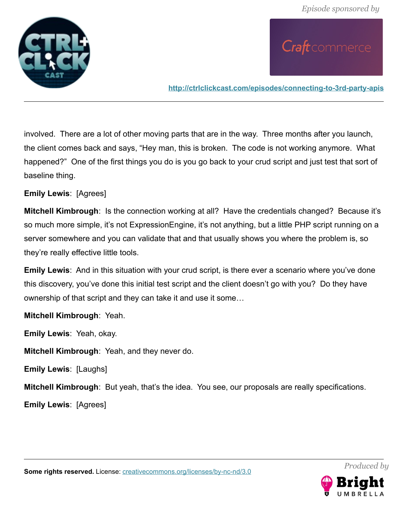

**<http://ctrlclickcast.com/episodes/connecting-to-3rd-party-apis>**

involved. There are a lot of other moving parts that are in the way. Three months after you launch, the client comes back and says, "Hey man, this is broken. The code is not working anymore. What happened?" One of the first things you do is you go back to your crud script and just test that sort of baseline thing.

**Emily Lewis**: [Agrees]

**Mitchell Kimbrough**: Is the connection working at all? Have the credentials changed? Because it's so much more simple, it's not ExpressionEngine, it's not anything, but a little PHP script running on a server somewhere and you can validate that and that usually shows you where the problem is, so they're really effective little tools.

**Emily Lewis**: And in this situation with your crud script, is there ever a scenario where you've done this discovery, you've done this initial test script and the client doesn't go with you? Do they have ownership of that script and they can take it and use it some…

**Mitchell Kimbrough**: Yeah.

**Emily Lewis**: Yeah, okay.

**Mitchell Kimbrough**: Yeah, and they never do.

**Emily Lewis**: [Laughs]

**Mitchell Kimbrough**: But yeah, that's the idea. You see, our proposals are really specifications.

**Emily Lewis**: [Agrees]



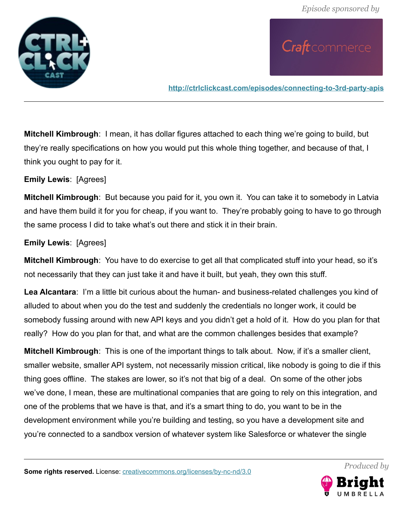

**<http://ctrlclickcast.com/episodes/connecting-to-3rd-party-apis>**

**Mitchell Kimbrough**: I mean, it has dollar figures attached to each thing we're going to build, but they're really specifications on how you would put this whole thing together, and because of that, I think you ought to pay for it.

**Emily Lewis**: [Agrees]

**Mitchell Kimbrough**: But because you paid for it, you own it. You can take it to somebody in Latvia and have them build it for you for cheap, if you want to. They're probably going to have to go through the same process I did to take what's out there and stick it in their brain.

### **Emily Lewis**: [Agrees]

**Mitchell Kimbrough**: You have to do exercise to get all that complicated stuff into your head, so it's not necessarily that they can just take it and have it built, but yeah, they own this stuff.

**Lea Alcantara**: I'm a little bit curious about the human- and business-related challenges you kind of alluded to about when you do the test and suddenly the credentials no longer work, it could be somebody fussing around with new API keys and you didn't get a hold of it. How do you plan for that really? How do you plan for that, and what are the common challenges besides that example?

**Mitchell Kimbrough**: This is one of the important things to talk about. Now, if it's a smaller client, smaller website, smaller API system, not necessarily mission critical, like nobody is going to die if this thing goes offline. The stakes are lower, so it's not that big of a deal. On some of the other jobs we've done, I mean, these are multinational companies that are going to rely on this integration, and one of the problems that we have is that, and it's a smart thing to do, you want to be in the development environment while you're building and testing, so you have a development site and you're connected to a sandbox version of whatever system like Salesforce or whatever the single



*Produced by*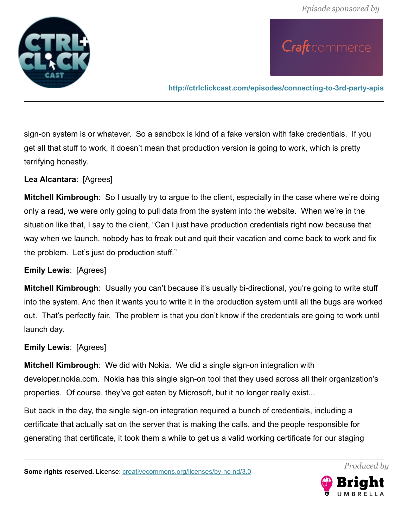

**<http://ctrlclickcast.com/episodes/connecting-to-3rd-party-apis>**

sign-on system is or whatever. So a sandbox is kind of a fake version with fake credentials. If you get all that stuff to work, it doesn't mean that production version is going to work, which is pretty terrifying honestly.

**Lea Alcantara**: [Agrees]

**Mitchell Kimbrough**: So I usually try to argue to the client, especially in the case where we're doing only a read, we were only going to pull data from the system into the website. When we're in the situation like that, I say to the client, "Can I just have production credentials right now because that way when we launch, nobody has to freak out and quit their vacation and come back to work and fix the problem. Let's just do production stuff."

### **Emily Lewis**: [Agrees]

**Mitchell Kimbrough**: Usually you can't because it's usually bi-directional, you're going to write stuff into the system. And then it wants you to write it in the production system until all the bugs are worked out. That's perfectly fair. The problem is that you don't know if the credentials are going to work until launch day.

### **Emily Lewis**: [Agrees]

**Mitchell Kimbrough**: We did with Nokia. We did a single sign-on integration with developer.nokia.com. Nokia has this single sign-on tool that they used across all their organization's properties. Of course, they've got eaten by Microsoft, but it no longer really exist...

But back in the day, the single sign-on integration required a bunch of credentials, including a certificate that actually sat on the server that is making the calls, and the people responsible for generating that certificate, it took them a while to get us a valid working certificate for our staging

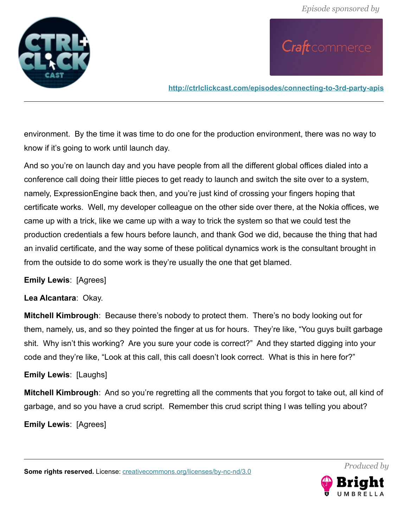

**<http://ctrlclickcast.com/episodes/connecting-to-3rd-party-apis>**

environment. By the time it was time to do one for the production environment, there was no way to know if it's going to work until launch day.

And so you're on launch day and you have people from all the different global offices dialed into a conference call doing their little pieces to get ready to launch and switch the site over to a system, namely, ExpressionEngine back then, and you're just kind of crossing your fingers hoping that certificate works. Well, my developer colleague on the other side over there, at the Nokia offices, we came up with a trick, like we came up with a way to trick the system so that we could test the production credentials a few hours before launch, and thank God we did, because the thing that had an invalid certificate, and the way some of these political dynamics work is the consultant brought in from the outside to do some work is they're usually the one that get blamed.

**Emily Lewis**: [Agrees]

### **Lea Alcantara**: Okay.

**Mitchell Kimbrough**: Because there's nobody to protect them. There's no body looking out for them, namely, us, and so they pointed the finger at us for hours. They're like, "You guys built garbage shit. Why isn't this working? Are you sure your code is correct?" And they started digging into your code and they're like, "Look at this call, this call doesn't look correct. What is this in here for?"

### **Emily Lewis**: [Laughs]

**Mitchell Kimbrough**: And so you're regretting all the comments that you forgot to take out, all kind of garbage, and so you have a crud script. Remember this crud script thing I was telling you about?

**Emily Lewis**: [Agrees]

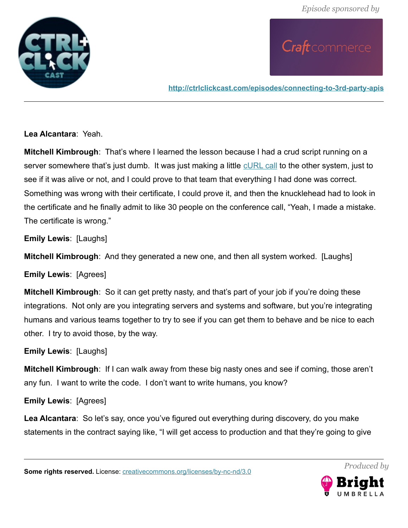

**<http://ctrlclickcast.com/episodes/connecting-to-3rd-party-apis>**

**Lea Alcantara**: Yeah.

**Mitchell Kimbrough**: That's where I learned the lesson because I had a crud script running on a server somewhere that's just dumb. It was just making a little [cURL call](https://curl.haxx.se/docs/httpscripting.html) to the other system, just to see if it was alive or not, and I could prove to that team that everything I had done was correct. Something was wrong with their certificate, I could prove it, and then the knucklehead had to look in the certificate and he finally admit to like 30 people on the conference call, "Yeah, I made a mistake. The certificate is wrong."

**Emily Lewis**: [Laughs]

**Mitchell Kimbrough**: And they generated a new one, and then all system worked. [Laughs]

**Emily Lewis**: [Agrees]

**Mitchell Kimbrough**: So it can get pretty nasty, and that's part of your job if you're doing these integrations. Not only are you integrating servers and systems and software, but you're integrating humans and various teams together to try to see if you can get them to behave and be nice to each other. I try to avoid those, by the way.

**Emily Lewis**: [Laughs]

**Mitchell Kimbrough**: If I can walk away from these big nasty ones and see if coming, those aren't any fun. I want to write the code. I don't want to write humans, you know?

**Emily Lewis**: [Agrees]

**Lea Alcantara**: So let's say, once you've figured out everything during discovery, do you make statements in the contract saying like, "I will get access to production and that they're going to give

**Some rights reserved.** License: *creativecommons.org/licenses/by-nc-nd/3.0* 

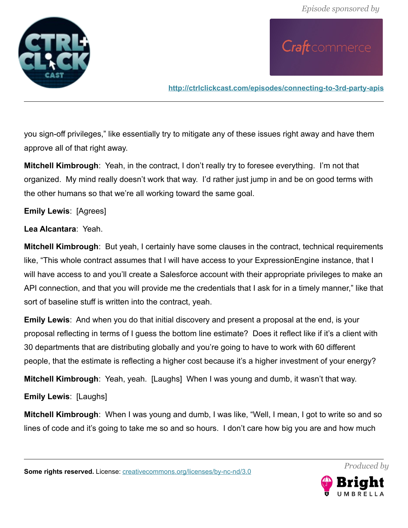

**<http://ctrlclickcast.com/episodes/connecting-to-3rd-party-apis>**

you sign-off privileges," like essentially try to mitigate any of these issues right away and have them approve all of that right away.

**Mitchell Kimbrough**: Yeah, in the contract, I don't really try to foresee everything. I'm not that organized. My mind really doesn't work that way. I'd rather just jump in and be on good terms with the other humans so that we're all working toward the same goal.

### **Emily Lewis**: [Agrees]

#### **Lea Alcantara**: Yeah.

**Mitchell Kimbrough**: But yeah, I certainly have some clauses in the contract, technical requirements like, "This whole contract assumes that I will have access to your ExpressionEngine instance, that I will have access to and you'll create a Salesforce account with their appropriate privileges to make an API connection, and that you will provide me the credentials that I ask for in a timely manner," like that sort of baseline stuff is written into the contract, yeah.

**Emily Lewis**: And when you do that initial discovery and present a proposal at the end, is your proposal reflecting in terms of I guess the bottom line estimate? Does it reflect like if it's a client with 30 departments that are distributing globally and you're going to have to work with 60 different people, that the estimate is reflecting a higher cost because it's a higher investment of your energy?

**Mitchell Kimbrough**: Yeah, yeah. [Laughs] When I was young and dumb, it wasn't that way.

**Emily Lewis**: [Laughs]

**Mitchell Kimbrough**: When I was young and dumb, I was like, "Well, I mean, I got to write so and so lines of code and it's going to take me so and so hours. I don't care how big you are and how much

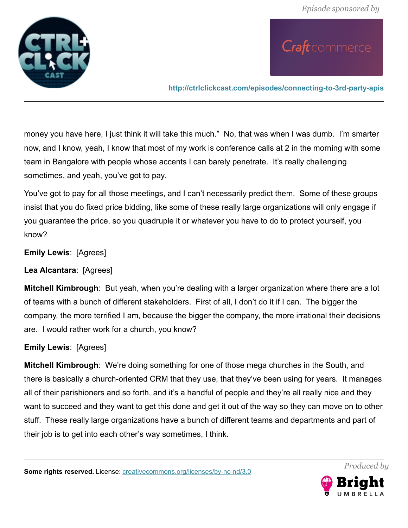

**<http://ctrlclickcast.com/episodes/connecting-to-3rd-party-apis>**

money you have here, I just think it will take this much." No, that was when I was dumb. I'm smarter now, and I know, yeah, I know that most of my work is conference calls at 2 in the morning with some team in Bangalore with people whose accents I can barely penetrate. It's really challenging sometimes, and yeah, you've got to pay.

You've got to pay for all those meetings, and I can't necessarily predict them. Some of these groups insist that you do fixed price bidding, like some of these really large organizations will only engage if you guarantee the price, so you quadruple it or whatever you have to do to protect yourself, you know?

**Emily Lewis**: [Agrees]

**Lea Alcantara**: [Agrees]

**Mitchell Kimbrough**: But yeah, when you're dealing with a larger organization where there are a lot of teams with a bunch of different stakeholders. First of all, I don't do it if I can. The bigger the company, the more terrified I am, because the bigger the company, the more irrational their decisions are. I would rather work for a church, you know?

### **Emily Lewis**: [Agrees]

**Mitchell Kimbrough**: We're doing something for one of those mega churches in the South, and there is basically a church-oriented CRM that they use, that they've been using for years. It manages all of their parishioners and so forth, and it's a handful of people and they're all really nice and they want to succeed and they want to get this done and get it out of the way so they can move on to other stuff. These really large organizations have a bunch of different teams and departments and part of their job is to get into each other's way sometimes, I think.

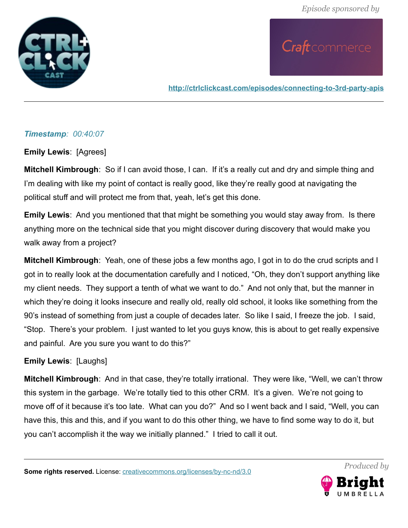

**<http://ctrlclickcast.com/episodes/connecting-to-3rd-party-apis>**

### *Timestamp: 00:40:07*

**Emily Lewis**: [Agrees]

**Mitchell Kimbrough**: So if I can avoid those, I can. If it's a really cut and dry and simple thing and I'm dealing with like my point of contact is really good, like they're really good at navigating the political stuff and will protect me from that, yeah, let's get this done.

**Emily Lewis**: And you mentioned that that might be something you would stay away from. Is there anything more on the technical side that you might discover during discovery that would make you walk away from a project?

**Mitchell Kimbrough**: Yeah, one of these jobs a few months ago, I got in to do the crud scripts and I got in to really look at the documentation carefully and I noticed, "Oh, they don't support anything like my client needs. They support a tenth of what we want to do." And not only that, but the manner in which they're doing it looks insecure and really old, really old school, it looks like something from the 90's instead of something from just a couple of decades later. So like I said, I freeze the job. I said, "Stop. There's your problem. I just wanted to let you guys know, this is about to get really expensive and painful. Are you sure you want to do this?"

### **Emily Lewis**: [Laughs]

**Mitchell Kimbrough**: And in that case, they're totally irrational. They were like, "Well, we can't throw this system in the garbage. We're totally tied to this other CRM. It's a given. We're not going to move off of it because it's too late. What can you do?" And so I went back and I said, "Well, you can have this, this and this, and if you want to do this other thing, we have to find some way to do it, but you can't accomplish it the way we initially planned." I tried to call it out.

**Some rights reserved.** License: *creativecommons.org/licenses/by-nc-nd/3.0* 

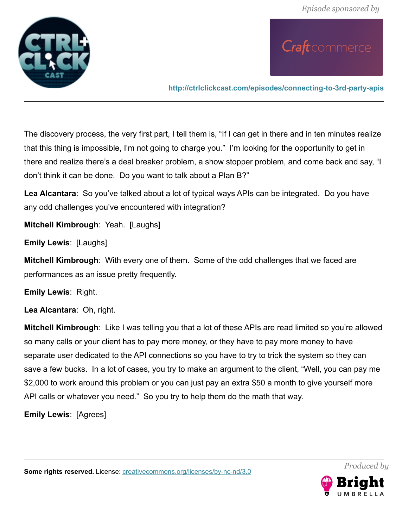

**<http://ctrlclickcast.com/episodes/connecting-to-3rd-party-apis>**

The discovery process, the very first part, I tell them is, "If I can get in there and in ten minutes realize that this thing is impossible, I'm not going to charge you." I'm looking for the opportunity to get in there and realize there's a deal breaker problem, a show stopper problem, and come back and say, "I don't think it can be done. Do you want to talk about a Plan B?"

**Lea Alcantara**: So you've talked about a lot of typical ways APIs can be integrated. Do you have any odd challenges you've encountered with integration?

**Mitchell Kimbrough**: Yeah. [Laughs]

**Emily Lewis**: [Laughs]

**Mitchell Kimbrough**: With every one of them. Some of the odd challenges that we faced are performances as an issue pretty frequently.

**Emily Lewis**: Right.

**Lea Alcantara**: Oh, right.

**Mitchell Kimbrough**: Like I was telling you that a lot of these APIs are read limited so you're allowed so many calls or your client has to pay more money, or they have to pay more money to have separate user dedicated to the API connections so you have to try to trick the system so they can save a few bucks. In a lot of cases, you try to make an argument to the client, "Well, you can pay me \$2,000 to work around this problem or you can just pay an extra \$50 a month to give yourself more API calls or whatever you need." So you try to help them do the math that way.

**Emily Lewis**: [Agrees]

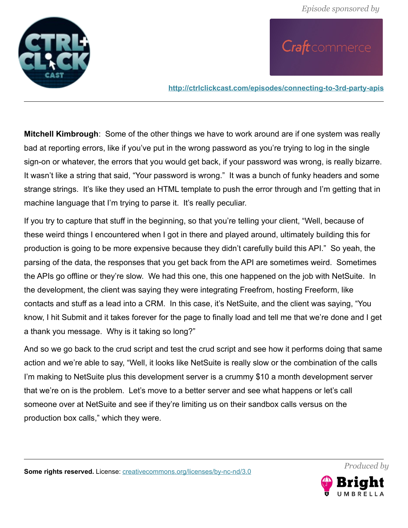

**<http://ctrlclickcast.com/episodes/connecting-to-3rd-party-apis>**

**Mitchell Kimbrough**: Some of the other things we have to work around are if one system was really bad at reporting errors, like if you've put in the wrong password as you're trying to log in the single sign-on or whatever, the errors that you would get back, if your password was wrong, is really bizarre. It wasn't like a string that said, "Your password is wrong." It was a bunch of funky headers and some strange strings. It's like they used an HTML template to push the error through and I'm getting that in machine language that I'm trying to parse it. It's really peculiar.

If you try to capture that stuff in the beginning, so that you're telling your client, "Well, because of these weird things I encountered when I got in there and played around, ultimately building this for production is going to be more expensive because they didn't carefully build this API." So yeah, the parsing of the data, the responses that you get back from the API are sometimes weird. Sometimes the APIs go offline or they're slow. We had this one, this one happened on the job with NetSuite. In the development, the client was saying they were integrating Freefrom, hosting Freeform, like contacts and stuff as a lead into a CRM. In this case, it's NetSuite, and the client was saying, "You know, I hit Submit and it takes forever for the page to finally load and tell me that we're done and I get a thank you message. Why is it taking so long?"

And so we go back to the crud script and test the crud script and see how it performs doing that same action and we're able to say, "Well, it looks like NetSuite is really slow or the combination of the calls I'm making to NetSuite plus this development server is a crummy \$10 a month development server that we're on is the problem. Let's move to a better server and see what happens or let's call someone over at NetSuite and see if they're limiting us on their sandbox calls versus on the production box calls," which they were.

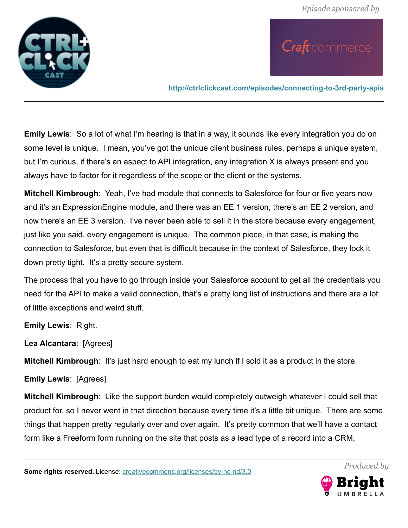

**<http://ctrlclickcast.com/episodes/connecting-to-3rd-party-apis>**

**Emily Lewis**: So a lot of what I'm hearing is that in a way, it sounds like every integration you do on some level is unique. I mean, you've got the unique client business rules, perhaps a unique system, but I'm curious, if there's an aspect to API integration, any integration X is always present and you always have to factor for it regardless of the scope or the client or the systems.

**Mitchell Kimbrough**: Yeah, I've had module that connects to Salesforce for four or five years now and it's an ExpressionEngine module, and there was an EE 1 version, there's an EE 2 version, and now there's an EE 3 version. I've never been able to sell it in the store because every engagement, just like you said, every engagement is unique. The common piece, in that case, is making the connection to Salesforce, but even that is difficult because in the context of Salesforce, they lock it down pretty tight. It's a pretty secure system.

The process that you have to go through inside your Salesforce account to get all the credentials you need for the API to make a valid connection, that's a pretty long list of instructions and there are a lot of little exceptions and weird stuff.

**Emily Lewis**: Right.

**Lea Alcantara**: [Agrees]

**Mitchell Kimbrough**: It's just hard enough to eat my lunch if I sold it as a product in the store.

**Emily Lewis**: [Agrees]

**Mitchell Kimbrough**: Like the support burden would completely outweigh whatever I could sell that product for, so I never went in that direction because every time it's a little bit unique. There are some things that happen pretty regularly over and over again. It's pretty common that we'll have a contact form like a Freeform form running on the site that posts as a lead type of a record into a CRM,

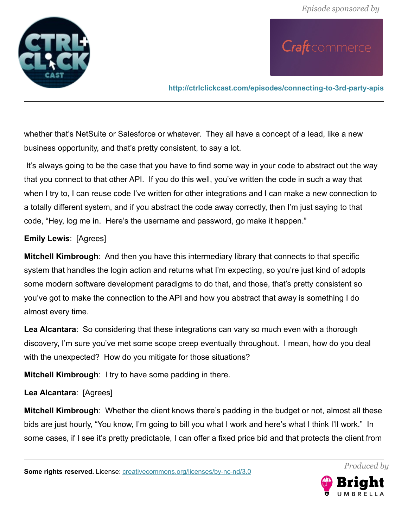

**<http://ctrlclickcast.com/episodes/connecting-to-3rd-party-apis>**

whether that's NetSuite or Salesforce or whatever. They all have a concept of a lead, like a new business opportunity, and that's pretty consistent, to say a lot.

 It's always going to be the case that you have to find some way in your code to abstract out the way that you connect to that other API. If you do this well, you've written the code in such a way that when I try to, I can reuse code I've written for other integrations and I can make a new connection to a totally different system, and if you abstract the code away correctly, then I'm just saying to that code, "Hey, log me in. Here's the username and password, go make it happen."

### **Emily Lewis**: [Agrees]

**Mitchell Kimbrough**: And then you have this intermediary library that connects to that specific system that handles the login action and returns what I'm expecting, so you're just kind of adopts some modern software development paradigms to do that, and those, that's pretty consistent so you've got to make the connection to the API and how you abstract that away is something I do almost every time.

**Lea Alcantara**: So considering that these integrations can vary so much even with a thorough discovery, I'm sure you've met some scope creep eventually throughout. I mean, how do you deal with the unexpected? How do you mitigate for those situations?

**Mitchell Kimbrough**: I try to have some padding in there.

### **Lea Alcantara**: [Agrees]

**Mitchell Kimbrough**: Whether the client knows there's padding in the budget or not, almost all these bids are just hourly, "You know, I'm going to bill you what I work and here's what I think I'll work." In some cases, if I see it's pretty predictable, I can offer a fixed price bid and that protects the client from

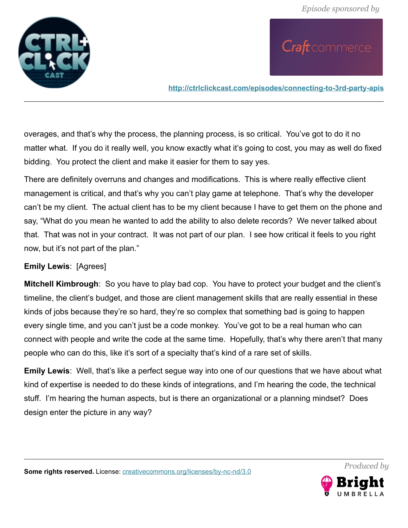

**<http://ctrlclickcast.com/episodes/connecting-to-3rd-party-apis>**

overages, and that's why the process, the planning process, is so critical. You've got to do it no matter what. If you do it really well, you know exactly what it's going to cost, you may as well do fixed bidding. You protect the client and make it easier for them to say yes.

There are definitely overruns and changes and modifications. This is where really effective client management is critical, and that's why you can't play game at telephone. That's why the developer can't be my client. The actual client has to be my client because I have to get them on the phone and say, "What do you mean he wanted to add the ability to also delete records? We never talked about that. That was not in your contract. It was not part of our plan. I see how critical it feels to you right now, but it's not part of the plan."

### **Emily Lewis**: [Agrees]

**Mitchell Kimbrough**: So you have to play bad cop. You have to protect your budget and the client's timeline, the client's budget, and those are client management skills that are really essential in these kinds of jobs because they're so hard, they're so complex that something bad is going to happen every single time, and you can't just be a code monkey. You've got to be a real human who can connect with people and write the code at the same time. Hopefully, that's why there aren't that many people who can do this, like it's sort of a specialty that's kind of a rare set of skills.

**Emily Lewis**: Well, that's like a perfect segue way into one of our questions that we have about what kind of expertise is needed to do these kinds of integrations, and I'm hearing the code, the technical stuff. I'm hearing the human aspects, but is there an organizational or a planning mindset? Does design enter the picture in any way?

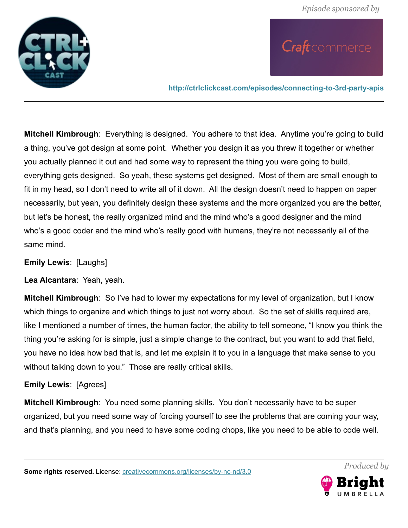

**<http://ctrlclickcast.com/episodes/connecting-to-3rd-party-apis>**

**Mitchell Kimbrough**: Everything is designed. You adhere to that idea. Anytime you're going to build a thing, you've got design at some point. Whether you design it as you threw it together or whether you actually planned it out and had some way to represent the thing you were going to build, everything gets designed. So yeah, these systems get designed. Most of them are small enough to fit in my head, so I don't need to write all of it down. All the design doesn't need to happen on paper necessarily, but yeah, you definitely design these systems and the more organized you are the better, but let's be honest, the really organized mind and the mind who's a good designer and the mind who's a good coder and the mind who's really good with humans, they're not necessarily all of the same mind.

**Emily Lewis**: [Laughs]

**Lea Alcantara**: Yeah, yeah.

**Mitchell Kimbrough**: So I've had to lower my expectations for my level of organization, but I know which things to organize and which things to just not worry about. So the set of skills required are, like I mentioned a number of times, the human factor, the ability to tell someone, "I know you think the thing you're asking for is simple, just a simple change to the contract, but you want to add that field, you have no idea how bad that is, and let me explain it to you in a language that make sense to you without talking down to you." Those are really critical skills.

### **Emily Lewis**: [Agrees]

**Mitchell Kimbrough**: You need some planning skills. You don't necessarily have to be super organized, but you need some way of forcing yourself to see the problems that are coming your way, and that's planning, and you need to have some coding chops, like you need to be able to code well.

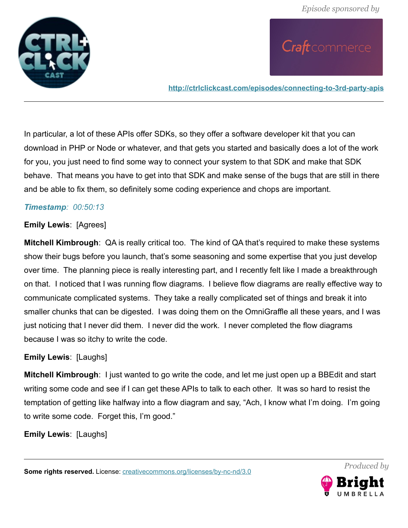

**<http://ctrlclickcast.com/episodes/connecting-to-3rd-party-apis>**

In particular, a lot of these APIs offer SDKs, so they offer a software developer kit that you can download in PHP or Node or whatever, and that gets you started and basically does a lot of the work for you, you just need to find some way to connect your system to that SDK and make that SDK behave. That means you have to get into that SDK and make sense of the bugs that are still in there and be able to fix them, so definitely some coding experience and chops are important.

### *Timestamp: 00:50:13*

#### **Emily Lewis**: [Agrees]

**Mitchell Kimbrough**: QA is really critical too. The kind of QA that's required to make these systems show their bugs before you launch, that's some seasoning and some expertise that you just develop over time. The planning piece is really interesting part, and I recently felt like I made a breakthrough on that. I noticed that I was running flow diagrams. I believe flow diagrams are really effective way to communicate complicated systems. They take a really complicated set of things and break it into smaller chunks that can be digested. I was doing them on the OmniGraffle all these years, and I was just noticing that I never did them. I never did the work. I never completed the flow diagrams because I was so itchy to write the code.

### **Emily Lewis**: [Laughs]

**Mitchell Kimbrough**: I just wanted to go write the code, and let me just open up a BBEdit and start writing some code and see if I can get these APIs to talk to each other. It was so hard to resist the temptation of getting like halfway into a flow diagram and say, "Ach, I know what I'm doing. I'm going to write some code. Forget this, I'm good."

**Emily Lewis**: [Laughs]

**Some rights reserved.** License: [creativecommons.org/licenses/by-nc-nd/3.0](http://creativecommons.org/licenses/by-nc-nd/3.0/)

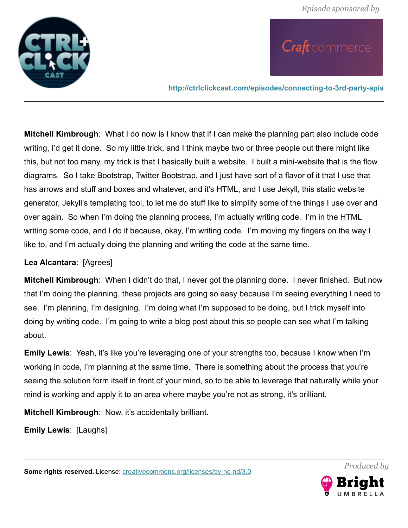

**<http://ctrlclickcast.com/episodes/connecting-to-3rd-party-apis>**

**Mitchell Kimbrough**: What I do now is I know that if I can make the planning part also include code writing, I'd get it done. So my little trick, and I think maybe two or three people out there might like this, but not too many, my trick is that I basically built a website. I built a mini-website that is the flow diagrams. So I take Bootstrap, Twitter Bootstrap, and I just have sort of a flavor of it that I use that has arrows and stuff and boxes and whatever, and it's HTML, and I use Jekyll, this static website generator, Jekyll's templating tool, to let me do stuff like to simplify some of the things I use over and over again. So when I'm doing the planning process, I'm actually writing code. I'm in the HTML writing some code, and I do it because, okay, I'm writing code. I'm moving my fingers on the way I like to, and I'm actually doing the planning and writing the code at the same time.

### **Lea Alcantara**: [Agrees]

**Mitchell Kimbrough**: When I didn't do that, I never got the planning done. I never finished. But now that I'm doing the planning, these projects are going so easy because I'm seeing everything I need to see. I'm planning, I'm designing. I'm doing what I'm supposed to be doing, but I trick myself into doing by writing code. I'm going to write a blog post about this so people can see what I'm talking about.

**Emily Lewis**: Yeah, it's like you're leveraging one of your strengths too, because I know when I'm working in code, I'm planning at the same time. There is something about the process that you're seeing the solution form itself in front of your mind, so to be able to leverage that naturally while your mind is working and apply it to an area where maybe you're not as strong, it's brilliant.

**Mitchell Kimbrough**: Now, it's accidentally brilliant.

**Emily Lewis**: [Laughs]

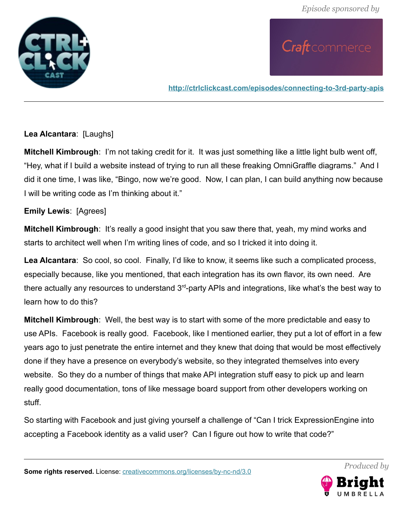

**<http://ctrlclickcast.com/episodes/connecting-to-3rd-party-apis>**

### **Lea Alcantara**: [Laughs]

**Mitchell Kimbrough**: I'm not taking credit for it. It was just something like a little light bulb went off, "Hey, what if I build a website instead of trying to run all these freaking OmniGraffle diagrams." And I did it one time, I was like, "Bingo, now we're good. Now, I can plan, I can build anything now because I will be writing code as I'm thinking about it."

### **Emily Lewis**: [Agrees]

**Mitchell Kimbrough**: It's really a good insight that you saw there that, yeah, my mind works and starts to architect well when I'm writing lines of code, and so I tricked it into doing it.

**Lea Alcantara**: So cool, so cool. Finally, I'd like to know, it seems like such a complicated process, especially because, like you mentioned, that each integration has its own flavor, its own need. Are there actually any resources to understand  $3<sup>rd</sup>$ -party APIs and integrations, like what's the best way to learn how to do this?

**Mitchell Kimbrough**: Well, the best way is to start with some of the more predictable and easy to use APIs. Facebook is really good. Facebook, like I mentioned earlier, they put a lot of effort in a few years ago to just penetrate the entire internet and they knew that doing that would be most effectively done if they have a presence on everybody's website, so they integrated themselves into every website. So they do a number of things that make API integration stuff easy to pick up and learn really good documentation, tons of like message board support from other developers working on stuff.

So starting with Facebook and just giving yourself a challenge of "Can I trick ExpressionEngine into accepting a Facebook identity as a valid user? Can I figure out how to write that code?"

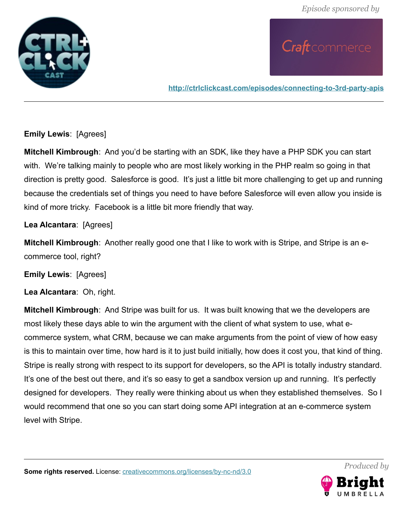

**<http://ctrlclickcast.com/episodes/connecting-to-3rd-party-apis>**

### **Emily Lewis**: [Agrees]

**Mitchell Kimbrough**: And you'd be starting with an SDK, like they have a PHP SDK you can start with. We're talking mainly to people who are most likely working in the PHP realm so going in that direction is pretty good. Salesforce is good. It's just a little bit more challenging to get up and running because the credentials set of things you need to have before Salesforce will even allow you inside is kind of more tricky. Facebook is a little bit more friendly that way.

### **Lea Alcantara**: [Agrees]

**Mitchell Kimbrough**: Another really good one that I like to work with is Stripe, and Stripe is an ecommerce tool, right?

**Emily Lewis**: [Agrees]

**Lea Alcantara**: Oh, right.

**Mitchell Kimbrough**: And Stripe was built for us. It was built knowing that we the developers are most likely these days able to win the argument with the client of what system to use, what ecommerce system, what CRM, because we can make arguments from the point of view of how easy is this to maintain over time, how hard is it to just build initially, how does it cost you, that kind of thing. Stripe is really strong with respect to its support for developers, so the API is totally industry standard. It's one of the best out there, and it's so easy to get a sandbox version up and running. It's perfectly designed for developers. They really were thinking about us when they established themselves. So I would recommend that one so you can start doing some API integration at an e-commerce system level with Stripe.

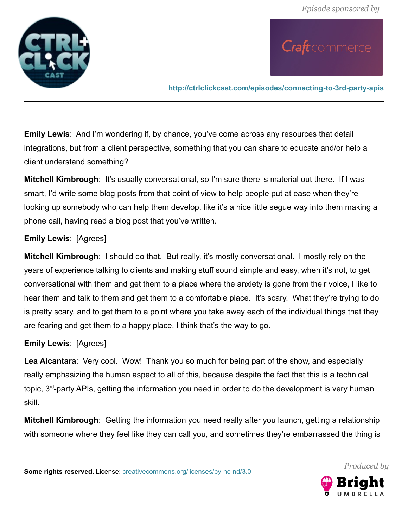

**<http://ctrlclickcast.com/episodes/connecting-to-3rd-party-apis>**

**Emily Lewis**: And I'm wondering if, by chance, you've come across any resources that detail integrations, but from a client perspective, something that you can share to educate and/or help a client understand something?

**Mitchell Kimbrough**: It's usually conversational, so I'm sure there is material out there. If I was smart, I'd write some blog posts from that point of view to help people put at ease when they're looking up somebody who can help them develop, like it's a nice little segue way into them making a phone call, having read a blog post that you've written.

### **Emily Lewis**: [Agrees]

**Mitchell Kimbrough**: I should do that. But really, it's mostly conversational. I mostly rely on the years of experience talking to clients and making stuff sound simple and easy, when it's not, to get conversational with them and get them to a place where the anxiety is gone from their voice, I like to hear them and talk to them and get them to a comfortable place. It's scary. What they're trying to do is pretty scary, and to get them to a point where you take away each of the individual things that they are fearing and get them to a happy place, I think that's the way to go.

### **Emily Lewis**: [Agrees]

**Lea Alcantara**: Very cool. Wow! Thank you so much for being part of the show, and especially really emphasizing the human aspect to all of this, because despite the fact that this is a technical topic, 3rd-party APIs, getting the information you need in order to do the development is very human skill.

**Mitchell Kimbrough**: Getting the information you need really after you launch, getting a relationship with someone where they feel like they can call you, and sometimes they're embarrassed the thing is

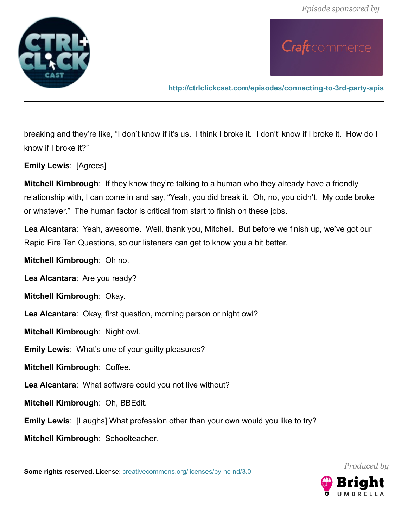

**<http://ctrlclickcast.com/episodes/connecting-to-3rd-party-apis>**

breaking and they're like, "I don't know if it's us. I think I broke it. I don't' know if I broke it. How do I know if I broke it?"

**Emily Lewis**: [Agrees]

**Mitchell Kimbrough**: If they know they're talking to a human who they already have a friendly relationship with, I can come in and say, "Yeah, you did break it. Oh, no, you didn't. My code broke or whatever." The human factor is critical from start to finish on these jobs.

**Lea Alcantara**: Yeah, awesome. Well, thank you, Mitchell. But before we finish up, we've got our Rapid Fire Ten Questions, so our listeners can get to know you a bit better.

**Mitchell Kimbrough**: Oh no.

**Lea Alcantara**: Are you ready?

**Mitchell Kimbrough**: Okay.

**Lea Alcantara**: Okay, first question, morning person or night owl?

**Mitchell Kimbrough**: Night owl.

**Emily Lewis**: What's one of your guilty pleasures?

**Mitchell Kimbrough**: Coffee.

**Lea Alcantara**: What software could you not live without?

**Mitchell Kimbrough**: Oh, BBEdit.

**Emily Lewis**: [Laughs] What profession other than your own would you like to try?

**Mitchell Kimbrough**: Schoolteacher.

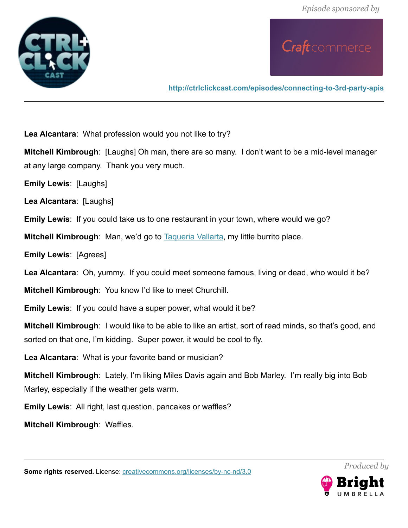



**<http://ctrlclickcast.com/episodes/connecting-to-3rd-party-apis>**

**Lea Alcantara**: What profession would you not like to try?

**Mitchell Kimbrough**: [Laughs] Oh man, there are so many. I don't want to be a mid-level manager at any large company. Thank you very much.

**Emily Lewis**: [Laughs]

**Lea Alcantara**: [Laughs]

**Emily Lewis**: If you could take us to one restaurant in your town, where would we go?

**Mitchell Kimbrough:** Man, we'd go to [Taqueria Vallarta,](http://taqueriavallartaonline.com/) my little burrito place.

**Emily Lewis**: [Agrees]

**Lea Alcantara**: Oh, yummy. If you could meet someone famous, living or dead, who would it be?

**Mitchell Kimbrough**: You know I'd like to meet Churchill.

**Emily Lewis**: If you could have a super power, what would it be?

**Mitchell Kimbrough**: I would like to be able to like an artist, sort of read minds, so that's good, and sorted on that one, I'm kidding. Super power, it would be cool to fly.

**Lea Alcantara**: What is your favorite band or musician?

**Mitchell Kimbrough**: Lately, I'm liking Miles Davis again and Bob Marley. I'm really big into Bob Marley, especially if the weather gets warm.

**Emily Lewis**: All right, last question, pancakes or waffles?

**Mitchell Kimbrough**: Waffles.



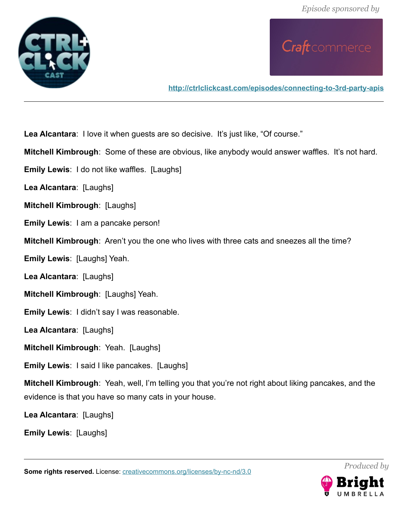



**<http://ctrlclickcast.com/episodes/connecting-to-3rd-party-apis>**

**Lea Alcantara**: I love it when guests are so decisive. It's just like, "Of course."

**Mitchell Kimbrough**: Some of these are obvious, like anybody would answer waffles. It's not hard.

**Emily Lewis:** I do not like waffles. [Laughs]

**Lea Alcantara**: [Laughs]

**Mitchell Kimbrough**: [Laughs]

**Emily Lewis**: I am a pancake person!

**Mitchell Kimbrough**: Aren't you the one who lives with three cats and sneezes all the time?

**Emily Lewis**: [Laughs] Yeah.

**Lea Alcantara**: [Laughs]

**Mitchell Kimbrough**: [Laughs] Yeah.

**Emily Lewis**: I didn't say I was reasonable.

**Lea Alcantara**: [Laughs]

**Mitchell Kimbrough**: Yeah. [Laughs]

**Emily Lewis**: I said I like pancakes. [Laughs]

**Mitchell Kimbrough**: Yeah, well, I'm telling you that you're not right about liking pancakes, and the evidence is that you have so many cats in your house.

**Lea Alcantara**: [Laughs]

**Emily Lewis**: [Laughs]

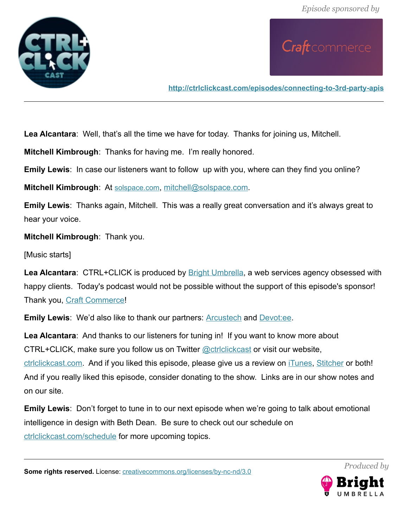

**<http://ctrlclickcast.com/episodes/connecting-to-3rd-party-apis>**

**Lea Alcantara**: Well, that's all the time we have for today. Thanks for joining us, Mitchell.

**Mitchell Kimbrough**: Thanks for having me. I'm really honored.

**Emily Lewis:** In case our listeners want to follow up with you, where can they find you online?

**Mitchell Kimbrough**: At [solspace.com](http://solspace.com/), [mitchell@solspace.com.](mailto:mitchell@solspace.com)

**Emily Lewis**: Thanks again, Mitchell. This was a really great conversation and it's always great to hear your voice.

**Mitchell Kimbrough**: Thank you.

[Music starts]

Lea Alcantara: CTRL+CLICK is produced by **Bright Umbrella**, a web services agency obsessed with happy clients. Today's podcast would not be possible without the support of this episode's sponsor! Thank you, [Craft Commerce!](https://craftcommerce.com/)

**Emily Lewis:** We'd also like to thank our partners: **Arcustech** and **Devotiee**.

**Lea Alcantara**: And thanks to our listeners for tuning in! If you want to know more about CTRL+CLICK, make sure you follow us on Twitter @ctriclickcast or visit our website, ctriclickcast.com. And if you liked this episode, please give us a review on *iTunes*, [Stitcher](http://www.stitcher.com/s?fid=49341&refid=stpr) or both! And if you really liked this episode, consider donating to the show. Links are in our show notes and on our site.

**Emily Lewis**: Don't forget to tune in to our next episode when we're going to talk about emotional intelligence in design with Beth Dean. Be sure to check out our schedule on [ctrlclickcast.com/schedule](http://ctrlclickcast.com/schedule) for more upcoming topics.